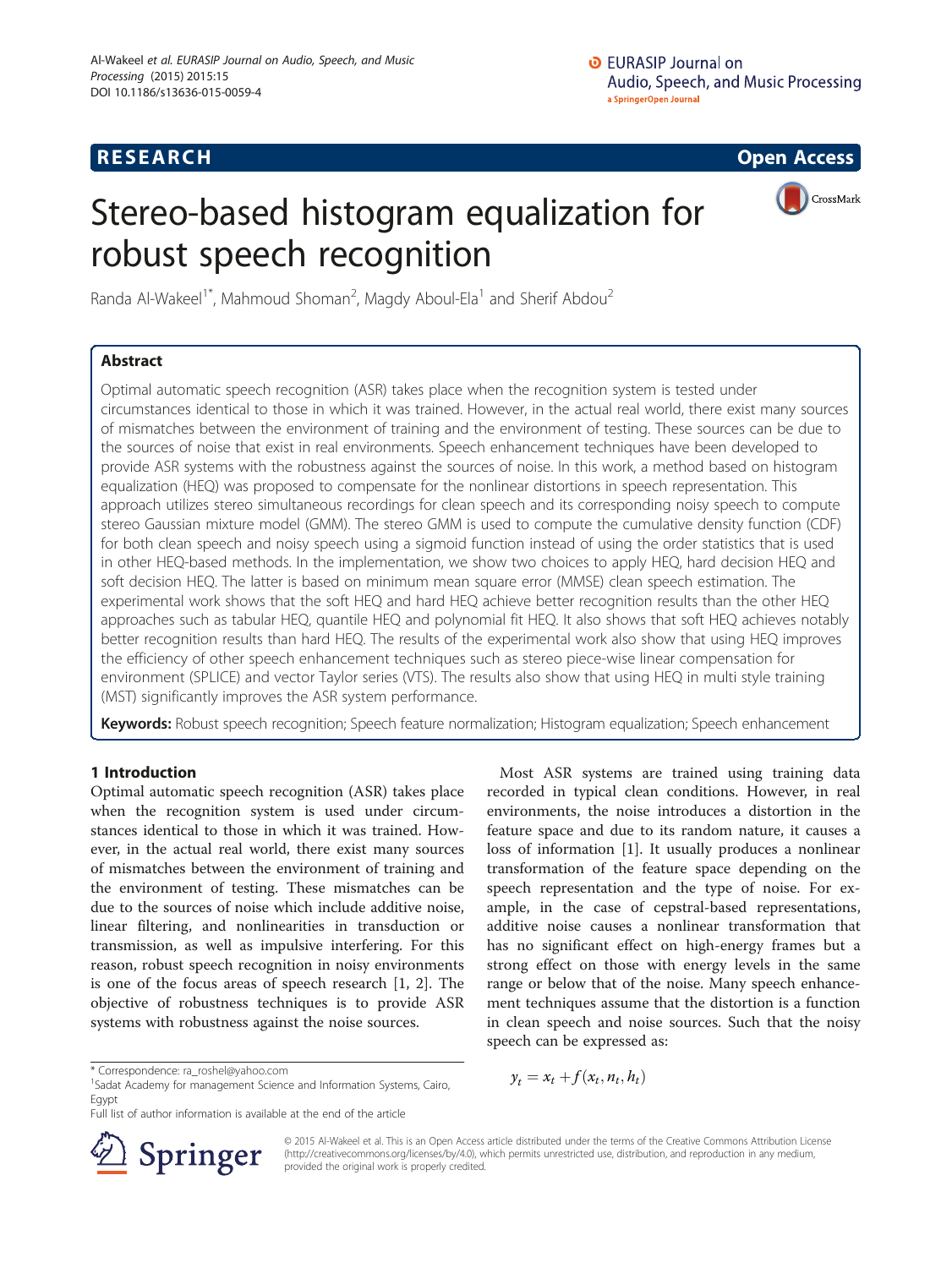## **RESEARCH CHE CHE Open Access**

# Stereo-based histogram equalization for robust speech recognition



Randa Al-Wakeel<sup>1\*</sup>, Mahmoud Shoman<sup>2</sup>, Magdy Aboul-Ela<sup>1</sup> and Sherif Abdou<sup>2</sup>

## Abstract

Optimal automatic speech recognition (ASR) takes place when the recognition system is tested under circumstances identical to those in which it was trained. However, in the actual real world, there exist many sources of mismatches between the environment of training and the environment of testing. These sources can be due to the sources of noise that exist in real environments. Speech enhancement techniques have been developed to provide ASR systems with the robustness against the sources of noise. In this work, a method based on histogram equalization (HEQ) was proposed to compensate for the nonlinear distortions in speech representation. This approach utilizes stereo simultaneous recordings for clean speech and its corresponding noisy speech to compute stereo Gaussian mixture model (GMM). The stereo GMM is used to compute the cumulative density function (CDF) for both clean speech and noisy speech using a sigmoid function instead of using the order statistics that is used in other HEQ-based methods. In the implementation, we show two choices to apply HEQ, hard decision HEQ and soft decision HEQ. The latter is based on minimum mean square error (MMSE) clean speech estimation. The experimental work shows that the soft HEQ and hard HEQ achieve better recognition results than the other HEQ approaches such as tabular HEQ, quantile HEQ and polynomial fit HEQ. It also shows that soft HEQ achieves notably better recognition results than hard HEQ. The results of the experimental work also show that using HEQ improves the efficiency of other speech enhancement techniques such as stereo piece-wise linear compensation for environment (SPLICE) and vector Taylor series (VTS). The results also show that using HEQ in multi style training (MST) significantly improves the ASR system performance.

Keywords: Robust speech recognition; Speech feature normalization; Histogram equalization; Speech enhancement

## 1 Introduction

Optimal automatic speech recognition (ASR) takes place when the recognition system is used under circumstances identical to those in which it was trained. However, in the actual real world, there exist many sources of mismatches between the environment of training and the environment of testing. These mismatches can be due to the sources of noise which include additive noise, linear filtering, and nonlinearities in transduction or transmission, as well as impulsive interfering. For this reason, robust speech recognition in noisy environments is one of the focus areas of speech research [\[1](#page-8-0), [2](#page-8-0)]. The objective of robustness techniques is to provide ASR systems with robustness against the noise sources.

Most ASR systems are trained using training data recorded in typical clean conditions. However, in real environments, the noise introduces a distortion in the feature space and due to its random nature, it causes a loss of information [\[1](#page-8-0)]. It usually produces a nonlinear transformation of the feature space depending on the speech representation and the type of noise. For example, in the case of cepstral-based representations, additive noise causes a nonlinear transformation that has no significant effect on high-energy frames but a strong effect on those with energy levels in the same range or below that of the noise. Many speech enhancement techniques assume that the distortion is a function in clean speech and noise sources. Such that the noisy speech can be expressed as:

Full list of author information is available at the end of the article



© 2015 Al-Wakeel et al. This is an Open Access article distributed under the terms of the Creative Commons Attribution License (<http://creativecommons.org/licenses/by/4.0>), which permits unrestricted use, distribution, and reproduction in any medium, provided the original work is properly credited.

<sup>\*</sup> Correspondence: [ra\\_roshel@yahoo.com](mailto:ra_roshel@yahoo.com)<br><sup>1</sup>Sadat Academy for management Science and Information Systems, Cairo,  $y_t = x_t + f(x_t, n_t, h_t)$ Egypt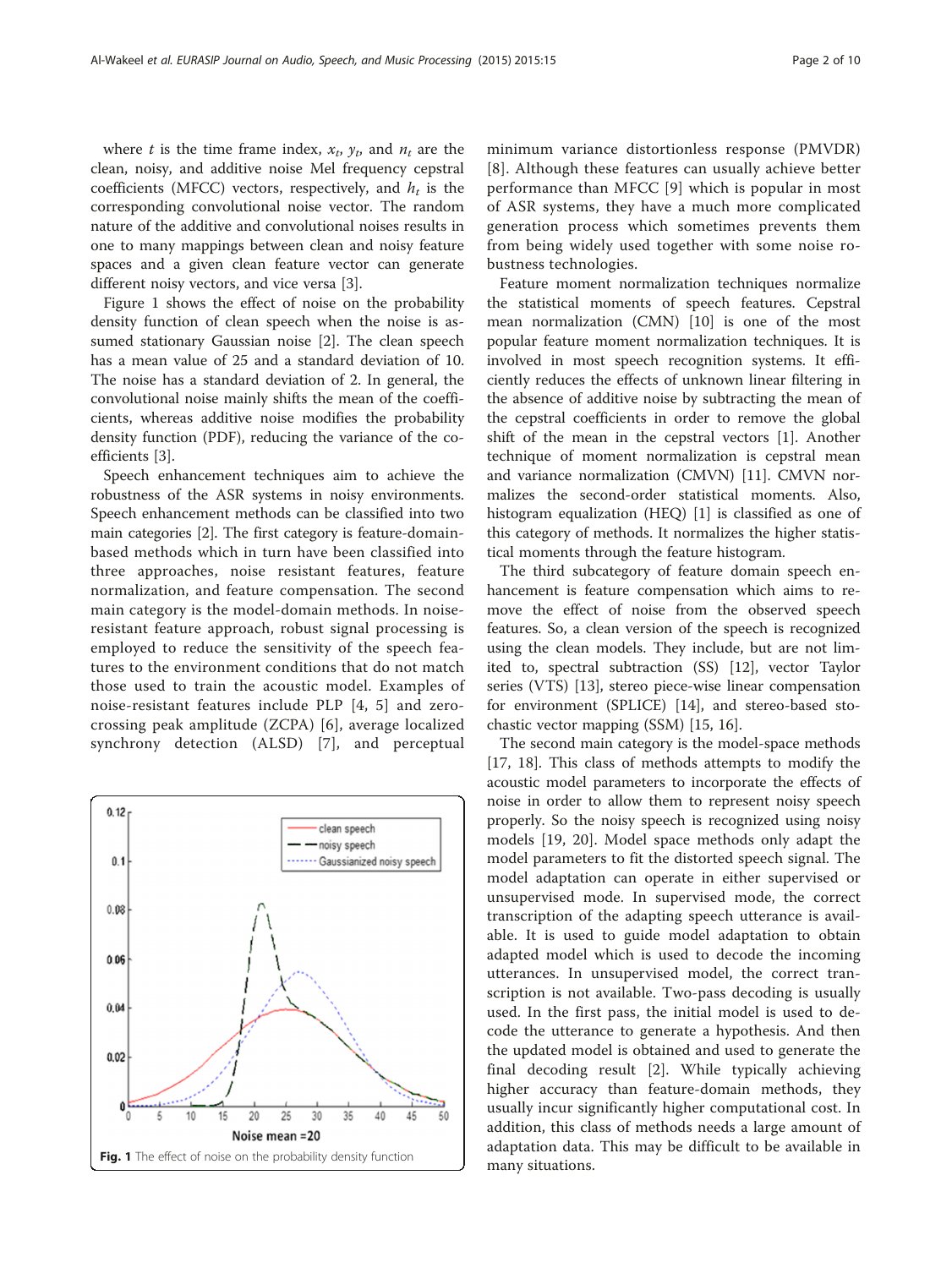where t is the time frame index,  $x_t$ ,  $y_t$ , and  $n_t$  are the clean, noisy, and additive noise Mel frequency cepstral coefficients (MFCC) vectors, respectively, and  $h_t$  is the corresponding convolutional noise vector. The random nature of the additive and convolutional noises results in one to many mappings between clean and noisy feature spaces and a given clean feature vector can generate different noisy vectors, and vice versa [[3](#page-8-0)].

Figure 1 shows the effect of noise on the probability density function of clean speech when the noise is assumed stationary Gaussian noise [\[2](#page-8-0)]. The clean speech has a mean value of 25 and a standard deviation of 10. The noise has a standard deviation of 2. In general, the convolutional noise mainly shifts the mean of the coefficients, whereas additive noise modifies the probability density function (PDF), reducing the variance of the coefficients [\[3](#page-8-0)].

Speech enhancement techniques aim to achieve the robustness of the ASR systems in noisy environments. Speech enhancement methods can be classified into two main categories [\[2](#page-8-0)]. The first category is feature-domainbased methods which in turn have been classified into three approaches, noise resistant features, feature normalization, and feature compensation. The second main category is the model-domain methods. In noiseresistant feature approach, robust signal processing is employed to reduce the sensitivity of the speech features to the environment conditions that do not match those used to train the acoustic model. Examples of noise-resistant features include PLP [[4](#page-8-0), [5](#page-8-0)] and zerocrossing peak amplitude (ZCPA) [[6](#page-8-0)], average localized synchrony detection (ALSD) [[7](#page-8-0)], and perceptual



minimum variance distortionless response (PMVDR) [[8](#page-8-0)]. Although these features can usually achieve better performance than MFCC [[9](#page-8-0)] which is popular in most of ASR systems, they have a much more complicated generation process which sometimes prevents them from being widely used together with some noise robustness technologies.

Feature moment normalization techniques normalize the statistical moments of speech features. Cepstral mean normalization (CMN) [\[10](#page-8-0)] is one of the most popular feature moment normalization techniques. It is involved in most speech recognition systems. It efficiently reduces the effects of unknown linear filtering in the absence of additive noise by subtracting the mean of the cepstral coefficients in order to remove the global shift of the mean in the cepstral vectors [\[1](#page-8-0)]. Another technique of moment normalization is cepstral mean and variance normalization (CMVN) [\[11](#page-8-0)]. CMVN normalizes the second-order statistical moments. Also, histogram equalization (HEQ) [[1\]](#page-8-0) is classified as one of this category of methods. It normalizes the higher statistical moments through the feature histogram.

The third subcategory of feature domain speech enhancement is feature compensation which aims to remove the effect of noise from the observed speech features. So, a clean version of the speech is recognized using the clean models. They include, but are not limited to, spectral subtraction (SS) [[12](#page-8-0)], vector Taylor series (VTS) [[13](#page-8-0)], stereo piece-wise linear compensation for environment (SPLICE) [[14](#page-8-0)], and stereo-based stochastic vector mapping (SSM) [\[15](#page-8-0), [16](#page-8-0)].

The second main category is the model-space methods [[17, 18\]](#page-8-0). This class of methods attempts to modify the acoustic model parameters to incorporate the effects of noise in order to allow them to represent noisy speech properly. So the noisy speech is recognized using noisy models [[19, 20\]](#page-8-0). Model space methods only adapt the model parameters to fit the distorted speech signal. The model adaptation can operate in either supervised or unsupervised mode. In supervised mode, the correct transcription of the adapting speech utterance is available. It is used to guide model adaptation to obtain adapted model which is used to decode the incoming utterances. In unsupervised model, the correct transcription is not available. Two-pass decoding is usually used. In the first pass, the initial model is used to decode the utterance to generate a hypothesis. And then the updated model is obtained and used to generate the final decoding result [\[2](#page-8-0)]. While typically achieving higher accuracy than feature-domain methods, they usually incur significantly higher computational cost. In addition, this class of methods needs a large amount of adaptation data. This may be difficult to be available in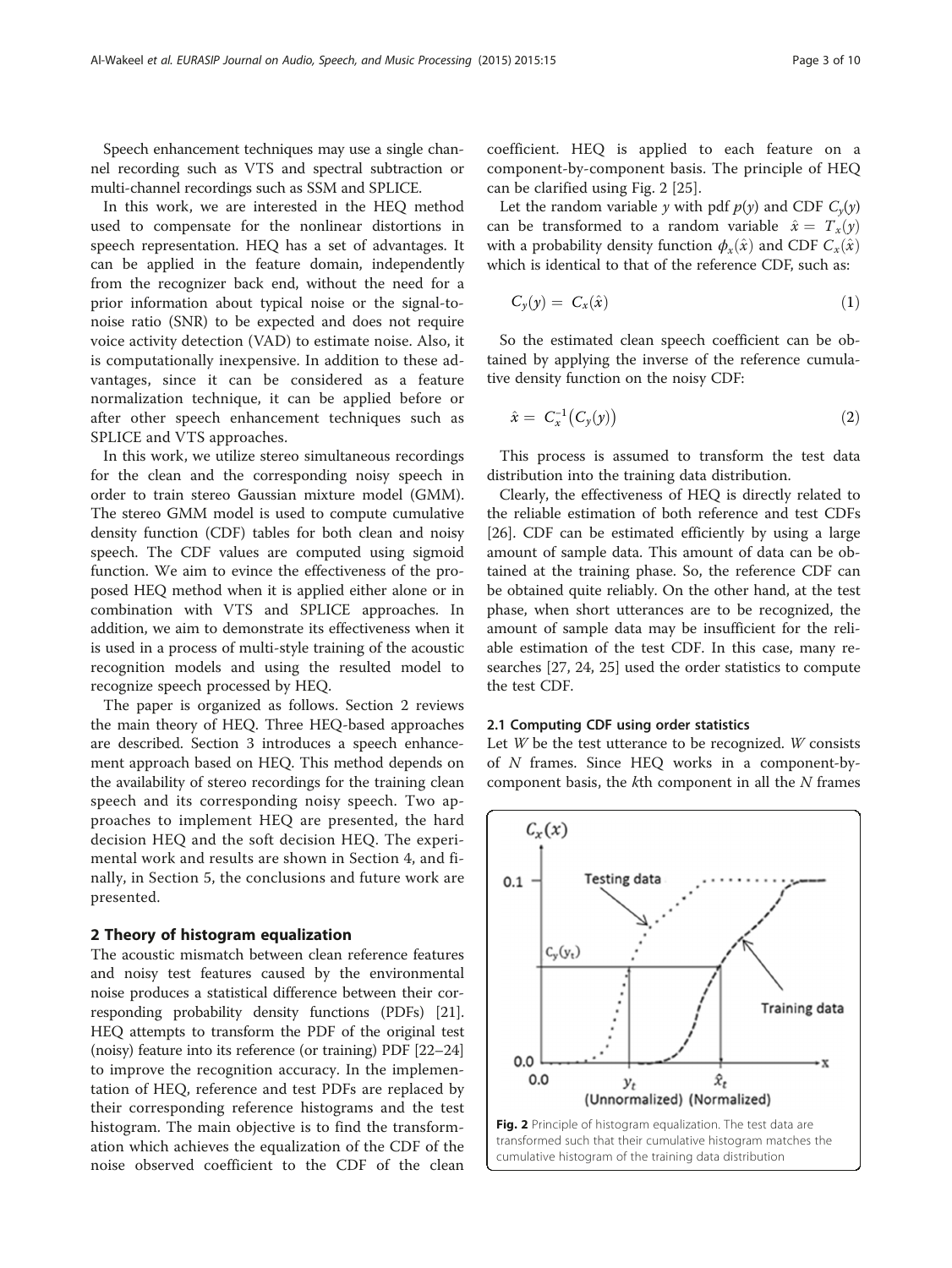Speech enhancement techniques may use a single channel recording such as VTS and spectral subtraction or multi-channel recordings such as SSM and SPLICE.

In this work, we are interested in the HEQ method used to compensate for the nonlinear distortions in speech representation. HEQ has a set of advantages. It can be applied in the feature domain, independently from the recognizer back end, without the need for a prior information about typical noise or the signal-tonoise ratio (SNR) to be expected and does not require voice activity detection (VAD) to estimate noise. Also, it is computationally inexpensive. In addition to these advantages, since it can be considered as a feature normalization technique, it can be applied before or after other speech enhancement techniques such as SPLICE and VTS approaches.

In this work, we utilize stereo simultaneous recordings for the clean and the corresponding noisy speech in order to train stereo Gaussian mixture model (GMM). The stereo GMM model is used to compute cumulative density function (CDF) tables for both clean and noisy speech. The CDF values are computed using sigmoid function. We aim to evince the effectiveness of the proposed HEQ method when it is applied either alone or in combination with VTS and SPLICE approaches. In addition, we aim to demonstrate its effectiveness when it is used in a process of multi-style training of the acoustic recognition models and using the resulted model to recognize speech processed by HEQ.

The paper is organized as follows. Section 2 reviews the main theory of HEQ. Three HEQ-based approaches are described. Section 3 introduces a speech enhancement approach based on HEQ. This method depends on the availability of stereo recordings for the training clean speech and its corresponding noisy speech. Two approaches to implement HEQ are presented, the hard decision HEQ and the soft decision HEQ. The experimental work and results are shown in Section 4, and finally, in Section 5, the conclusions and future work are presented.

## 2 Theory of histogram equalization

The acoustic mismatch between clean reference features and noisy test features caused by the environmental noise produces a statistical difference between their corresponding probability density functions (PDFs) [[21](#page-8-0)]. HEQ attempts to transform the PDF of the original test (noisy) feature into its reference (or training) PDF [\[22](#page-8-0)–[24](#page-8-0)] to improve the recognition accuracy. In the implementation of HEQ, reference and test PDFs are replaced by their corresponding reference histograms and the test histogram. The main objective is to find the transformation which achieves the equalization of the CDF of the noise observed coefficient to the CDF of the clean

coefficient. HEQ is applied to each feature on a component-by-component basis. The principle of HEQ can be clarified using Fig. 2 [[25\]](#page-8-0).

Let the random variable y with pdf  $p(y)$  and CDF  $C_y(y)$ can be transformed to a random variable  $\hat{x} = T_x(y)$ with a probability density function  $\phi_x(\hat{x})$  and CDF  $C_x(\hat{x})$ which is identical to that of the reference CDF, such as:

$$
C_y(y) = C_x(\hat{x}) \tag{1}
$$

So the estimated clean speech coefficient can be obtained by applying the inverse of the reference cumulative density function on the noisy CDF:

$$
\hat{x} = C_x^{-1}(C_y(y)) \tag{2}
$$

This process is assumed to transform the test data distribution into the training data distribution.

Clearly, the effectiveness of HEQ is directly related to the reliable estimation of both reference and test CDFs [[26\]](#page-8-0). CDF can be estimated efficiently by using a large amount of sample data. This amount of data can be obtained at the training phase. So, the reference CDF can be obtained quite reliably. On the other hand, at the test phase, when short utterances are to be recognized, the amount of sample data may be insufficient for the reliable estimation of the test CDF. In this case, many researches [\[27, 24, 25\]](#page-8-0) used the order statistics to compute the test CDF.

#### 2.1 Computing CDF using order statistics

Let W be the test utterance to be recognized. W consists of N frames. Since HEQ works in a component-bycomponent basis, the kth component in all the N frames

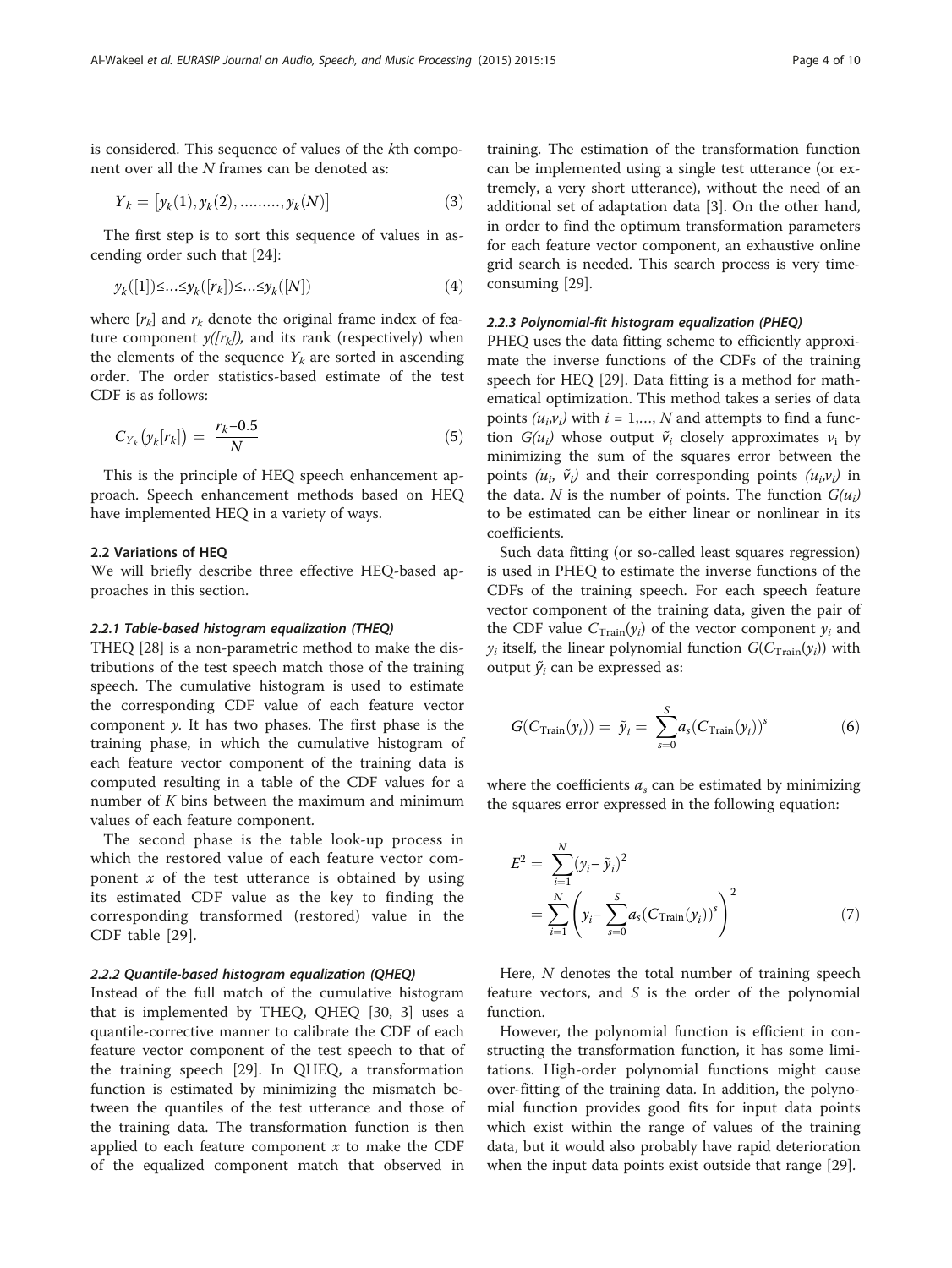is considered. This sequence of values of the kth component over all the N frames can be denoted as:

$$
Y_k = [y_k(1), y_k(2), \dots, y_k(N)]
$$
 (3)

The first step is to sort this sequence of values in ascending order such that [[24\]](#page-8-0):

$$
y_k([1]) \leq \ldots \leq y_k([r_k]) \leq \ldots \leq y_k([N]) \tag{4}
$$

where  $[r_k]$  and  $r_k$  denote the original frame index of feature component  $y(r_k)$ , and its rank (respectively) when the elements of the sequence  $Y_k$  are sorted in ascending order. The order statistics-based estimate of the test CDF is as follows:

$$
C_{Y_k}\big(\mathbf{y}_k[r_k]\big) = \frac{r_k - 0.5}{N} \tag{5}
$$

This is the principle of HEQ speech enhancement approach. Speech enhancement methods based on HEQ have implemented HEQ in a variety of ways.

#### 2.2 Variations of HEQ

We will briefly describe three effective HEQ-based approaches in this section.

#### 2.2.1 Table-based histogram equalization (THEQ)

THEQ [\[28\]](#page-8-0) is a non-parametric method to make the distributions of the test speech match those of the training speech. The cumulative histogram is used to estimate the corresponding CDF value of each feature vector component y. It has two phases. The first phase is the training phase, in which the cumulative histogram of each feature vector component of the training data is computed resulting in a table of the CDF values for a number of  $K$  bins between the maximum and minimum values of each feature component.

The second phase is the table look-up process in which the restored value of each feature vector component  $x$  of the test utterance is obtained by using its estimated CDF value as the key to finding the corresponding transformed (restored) value in the CDF table [\[29\]](#page-8-0).

#### 2.2.2 Quantile-based histogram equalization (QHEQ)

Instead of the full match of the cumulative histogram that is implemented by THEQ, QHEQ [[30](#page-8-0), [3\]](#page-8-0) uses a quantile-corrective manner to calibrate the CDF of each feature vector component of the test speech to that of the training speech [[29\]](#page-8-0). In QHEQ, a transformation function is estimated by minimizing the mismatch between the quantiles of the test utterance and those of the training data. The transformation function is then applied to each feature component  $x$  to make the CDF of the equalized component match that observed in

training. The estimation of the transformation function can be implemented using a single test utterance (or extremely, a very short utterance), without the need of an additional set of adaptation data [[3\]](#page-8-0). On the other hand, in order to find the optimum transformation parameters for each feature vector component, an exhaustive online grid search is needed. This search process is very timeconsuming [[29\]](#page-8-0).

## 2.2.3 Polynomial-fit histogram equalization (PHEQ)

PHEQ uses the data fitting scheme to efficiently approximate the inverse functions of the CDFs of the training speech for HEQ [[29\]](#page-8-0). Data fitting is a method for mathematical optimization. This method takes a series of data points  $(u_i, v_i)$  with  $i = 1,..., N$  and attempts to find a function  $G(u_i)$  whose output  $\tilde{v}_i$  closely approximates  $v_i$  by minimizing the sum of the squares error between the points  $(u_i, \tilde{v}_i)$  and their corresponding points  $(u_i, v_i)$  in the data. N is the number of points. The function  $G(u_i)$ to be estimated can be either linear or nonlinear in its coefficients.

Such data fitting (or so-called least squares regression) is used in PHEQ to estimate the inverse functions of the CDFs of the training speech. For each speech feature vector component of the training data, given the pair of the CDF value  $C_{\text{Train}}(y_i)$  of the vector component  $y_i$  and  $y_i$  itself, the linear polynomial function  $G(C_{\text{Train}}(y_i))$  with output  $\tilde{y}_i$  can be expressed as:

$$
G(C_{\text{Train}}(y_i)) = \tilde{y}_i = \sum_{s=0}^{S} a_s (C_{\text{Train}}(y_i))^s
$$
(6)

where the coefficients  $a_s$  can be estimated by minimizing the squares error expressed in the following equation:

$$
E^{2} = \sum_{i=1}^{N} (y_{i} - \tilde{y}_{i})^{2}
$$
  
= 
$$
\sum_{i=1}^{N} \left( y_{i} - \sum_{s=0}^{S} a_{s} (C_{\text{Train}}(y_{i}))^{s} \right)^{2}
$$
 (7)

Here, N denotes the total number of training speech feature vectors, and  $S$  is the order of the polynomial function.

However, the polynomial function is efficient in constructing the transformation function, it has some limitations. High-order polynomial functions might cause over-fitting of the training data. In addition, the polynomial function provides good fits for input data points which exist within the range of values of the training data, but it would also probably have rapid deterioration when the input data points exist outside that range [\[29](#page-8-0)].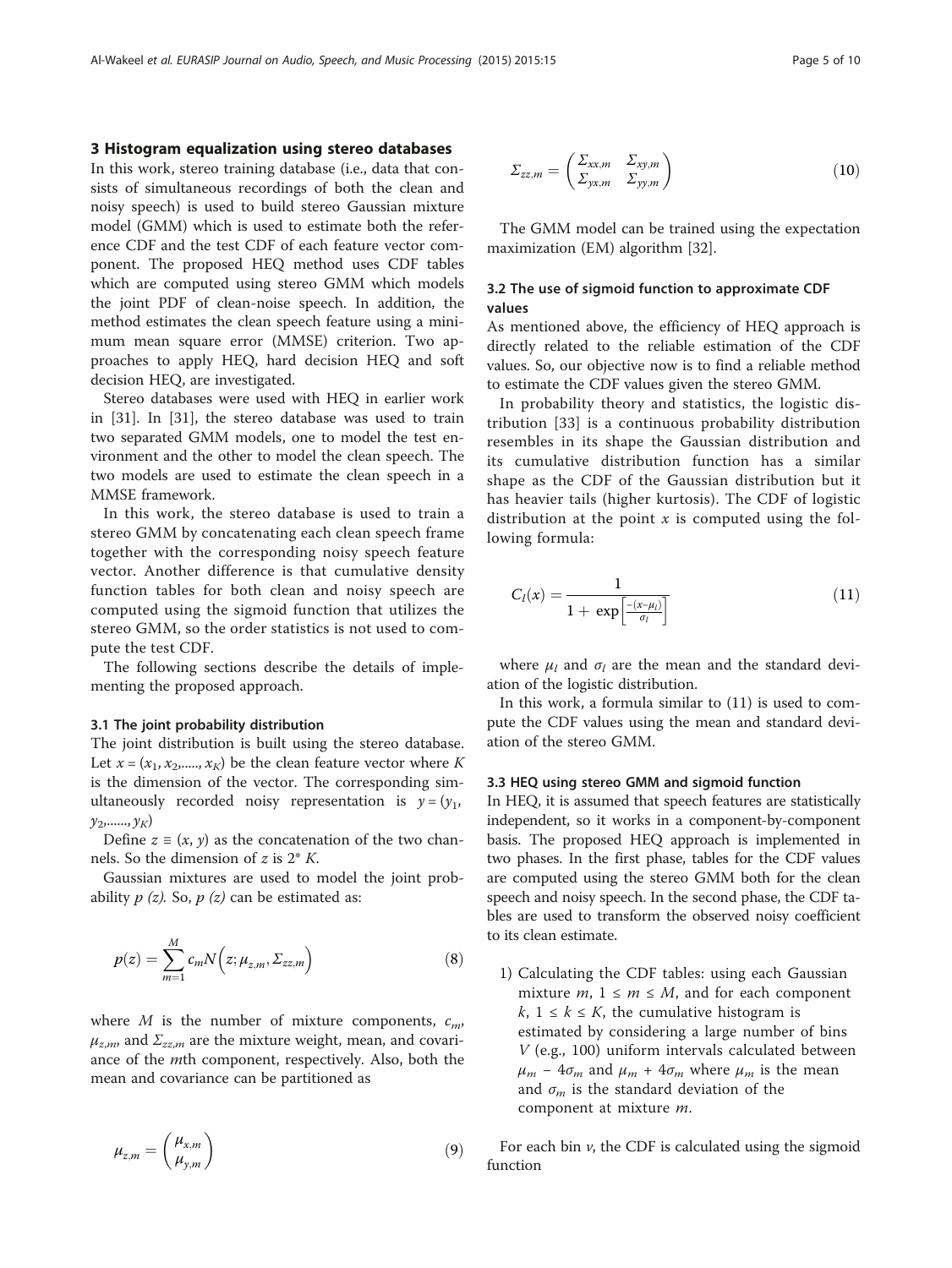#### 3 Histogram equalization using stereo databases

In this work, stereo training database (i.e., data that consists of simultaneous recordings of both the clean and noisy speech) is used to build stereo Gaussian mixture model (GMM) which is used to estimate both the reference CDF and the test CDF of each feature vector component. The proposed HEQ method uses CDF tables which are computed using stereo GMM which models the joint PDF of clean-noise speech. In addition, the method estimates the clean speech feature using a minimum mean square error (MMSE) criterion. Two approaches to apply HEQ, hard decision HEQ and soft decision HEQ, are investigated.

Stereo databases were used with HEQ in earlier work in [[31](#page-8-0)]. In [[31\]](#page-8-0), the stereo database was used to train two separated GMM models, one to model the test environment and the other to model the clean speech. The two models are used to estimate the clean speech in a MMSE framework.

In this work, the stereo database is used to train a stereo GMM by concatenating each clean speech frame together with the corresponding noisy speech feature vector. Another difference is that cumulative density function tables for both clean and noisy speech are computed using the sigmoid function that utilizes the stereo GMM, so the order statistics is not used to compute the test CDF.

The following sections describe the details of implementing the proposed approach.

#### 3.1 The joint probability distribution

The joint distribution is built using the stereo database. Let  $x = (x_1, x_2, \dots, x_K)$  be the clean feature vector where K is the dimension of the vector. The corresponding simultaneously recorded noisy representation is  $y = (y_1,$  $y_2, \ldots, y_K$ 

Define  $z \equiv (x, y)$  as the concatenation of the two channels. So the dimension of  $z$  is  $2^* K$ .

Gaussian mixtures are used to model the joint probability  $p(z)$ . So,  $p(z)$  can be estimated as:

$$
p(z) = \sum_{m=1}^{M} c_m N(z; \mu_{z,m}, \Sigma_{zz,m})
$$
\n(8)

where M is the number of mixture components,  $c_m$ ,  $\mu_{z,m}$ , and  $\Sigma_{zz,m}$  are the mixture weight, mean, and covariance of the mth component, respectively. Also, both the mean and covariance can be partitioned as

$$
\mu_{z,m} = \begin{pmatrix} \mu_{x,m} \\ \mu_{y,m} \end{pmatrix} \tag{9}
$$

$$
\Sigma_{zz,m} = \begin{pmatrix} \Sigma_{xx,m} & \Sigma_{xy,m} \\ \Sigma_{yx,m} & \Sigma_{yy,m} \end{pmatrix}
$$
 (10)

The GMM model can be trained using the expectation maximization (EM) algorithm [\[32](#page-9-0)].

## 3.2 The use of sigmoid function to approximate CDF values

As mentioned above, the efficiency of HEQ approach is directly related to the reliable estimation of the CDF values. So, our objective now is to find a reliable method to estimate the CDF values given the stereo GMM.

In probability theory and statistics, the logistic distribution [[33](#page-9-0)] is a continuous probability distribution resembles in its shape the Gaussian distribution and its cumulative distribution function has a similar shape as the CDF of the Gaussian distribution but it has heavier tails (higher kurtosis). The CDF of logistic distribution at the point  $x$  is computed using the following formula:

$$
C_l(x) = \frac{1}{1 + \exp\left[\frac{-(x-\mu_l)}{\sigma_l}\right]}
$$
(11)

where  $\mu_l$  and  $\sigma_l$  are the mean and the standard deviation of the logistic distribution.

In this work, a formula similar to (11) is used to compute the CDF values using the mean and standard deviation of the stereo GMM.

## 3.3 HEQ using stereo GMM and sigmoid function

In HEQ, it is assumed that speech features are statistically independent, so it works in a component-by-component basis. The proposed HEQ approach is implemented in two phases. In the first phase, tables for the CDF values are computed using the stereo GMM both for the clean speech and noisy speech. In the second phase, the CDF tables are used to transform the observed noisy coefficient to its clean estimate.

1) Calculating the CDF tables: using each Gaussian mixture  $m, 1 \le m \le M$ , and for each component  $k, 1 ≤ k ≤ K$ , the cumulative histogram is estimated by considering a large number of bins V (e.g., 100) uniform intervals calculated between  $\mu_m$  –  $4\sigma_m$  and  $\mu_m$  +  $4\sigma_m$  where  $\mu_m$  is the mean and  $\sigma_m$  is the standard deviation of the component at mixture m.

For each bin  $\nu$ , the CDF is calculated using the sigmoid function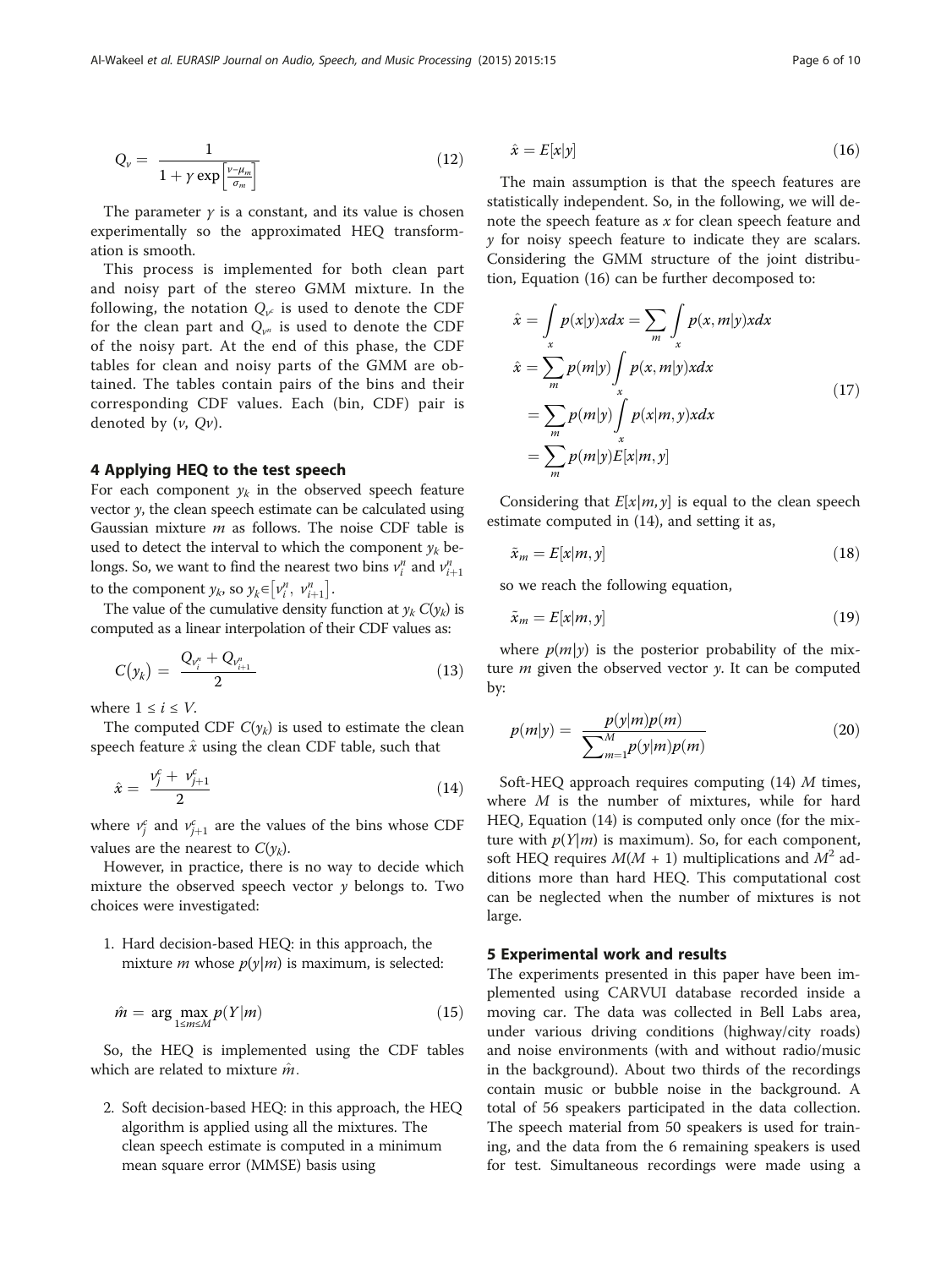$$
Q_{\nu} = \frac{1}{1 + \gamma \exp\left[\frac{\nu - \mu_m}{\sigma_m}\right]}
$$
(12)

The parameter  $\gamma$  is a constant, and its value is chosen experimentally so the approximated HEQ transformation is smooth.

This process is implemented for both clean part and noisy part of the stereo GMM mixture. In the following, the notation  $Q_{\nu c}$  is used to denote the CDF for the clean part and  $Q_{\nu^n}$  is used to denote the CDF of the noisy part. At the end of this phase, the CDF tables for clean and noisy parts of the GMM are obtained. The tables contain pairs of the bins and their corresponding CDF values. Each (bin, CDF) pair is denoted by  $(v, Qv)$ .

## 4 Applying HEQ to the test speech

For each component  $y_k$  in the observed speech feature vector y, the clean speech estimate can be calculated using Gaussian mixture  $m$  as follows. The noise CDF table is used to detect the interval to which the component  $y_k$  belongs. So, we want to find the nearest two bins  $v_i^n$  and  $v_{i+1}^n$ to the component  $y_k$ , so  $y_k \in [v_i^n, v_{i+1}^n]$ .

The value of the cumulative density function at  $\gamma_k C(\gamma_k)$  is computed as a linear interpolation of their CDF values as:

$$
C(y_k) = \frac{Q_{\nu_i^n} + Q_{\nu_{i+1}^n}}{2} \tag{13}
$$

where  $1 \leq i \leq V$ .

The computed CDF  $C(y_k)$  is used to estimate the clean speech feature  $\hat{x}$  using the clean CDF table, such that

$$
\hat{x} = \frac{v_j^c + v_{j+1}^c}{2} \tag{14}
$$

where  $v_j^c$  and  $v_{j+1}^c$  are the values of the bins whose CDF values are the nearest to  $C(\gamma_k)$ .

However, in practice, there is no way to decide which mixture the observed speech vector  $y$  belongs to. Two choices were investigated:

1. Hard decision-based HEQ: in this approach, the mixture *m* whose  $p(y|m)$  is maximum, is selected:

$$
\hat{m} = \arg\max_{1 \le m \le M} p(Y|m) \tag{15}
$$

So, the HEQ is implemented using the CDF tables which are related to mixture  $\hat{m}$ .

2. Soft decision-based HEQ: in this approach, the HEQ algorithm is applied using all the mixtures. The clean speech estimate is computed in a minimum mean square error (MMSE) basis using

$$
\hat{x} = E[x|y] \tag{16}
$$

The main assumption is that the speech features are statistically independent. So, in the following, we will denote the speech feature as  $x$  for clean speech feature and  $\gamma$  for noisy speech feature to indicate they are scalars. Considering the GMM structure of the joint distribution, Equation (16) can be further decomposed to:

$$
\hat{x} = \int_{x} p(x|y)xdx = \sum_{m} \int_{x} p(x,m|y)xdx
$$
\n
$$
\hat{x} = \sum_{m} p(m|y) \int_{x} p(x,m|y)xdx
$$
\n
$$
= \sum_{m} p(m|y) \int_{x} p(x|m,y)xdx
$$
\n
$$
= \sum_{m} p(m|y)E[x|m,y]
$$
\n(17)

Considering that  $E[x|m, y]$  is equal to the clean speech estimate computed in (14), and setting it as,

$$
\tilde{x}_m = E[x|m, y] \tag{18}
$$

so we reach the following equation,

$$
\tilde{x}_m = E[x|m, y] \tag{19}
$$

where  $p(m|y)$  is the posterior probability of the mixture  $m$  given the observed vector  $y$ . It can be computed by:

$$
p(m|y) = \frac{p(y|m)p(m)}{\sum_{m=1}^{M} p(y|m)p(m)}
$$
(20)

Soft-HEQ approach requires computing (14) M times, where  $M$  is the number of mixtures, while for hard HEQ, Equation (14) is computed only once (for the mixture with  $p(Y|m)$  is maximum). So, for each component, soft HEQ requires  $M(M + 1)$  multiplications and  $M^2$  additions more than hard HEQ. This computational cost can be neglected when the number of mixtures is not large.

## 5 Experimental work and results

The experiments presented in this paper have been implemented using CARVUI database recorded inside a moving car. The data was collected in Bell Labs area, under various driving conditions (highway/city roads) and noise environments (with and without radio/music in the background). About two thirds of the recordings contain music or bubble noise in the background. A total of 56 speakers participated in the data collection. The speech material from 50 speakers is used for training, and the data from the 6 remaining speakers is used for test. Simultaneous recordings were made using a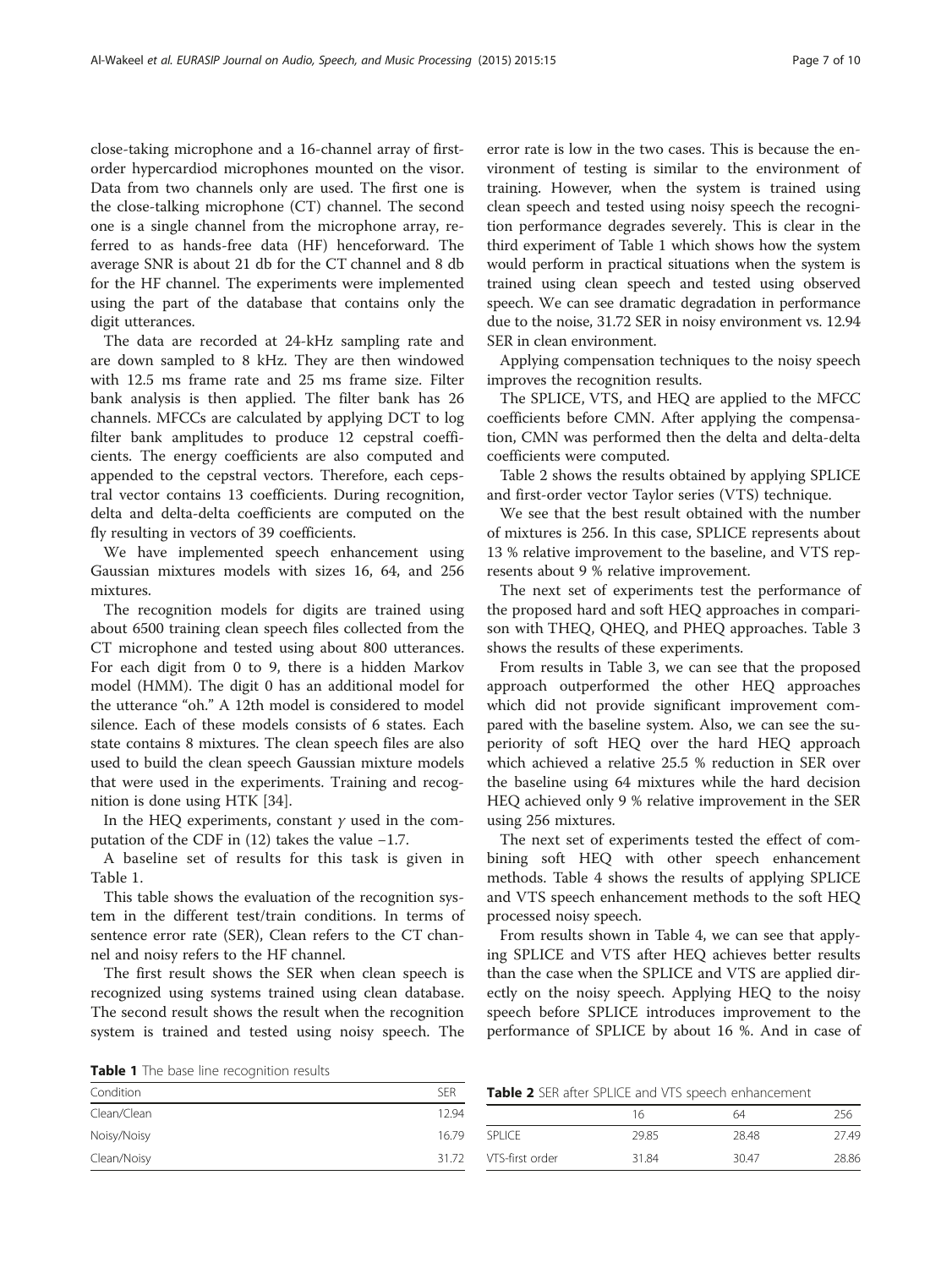close-taking microphone and a 16-channel array of firstorder hypercardiod microphones mounted on the visor. Data from two channels only are used. The first one is the close-talking microphone (CT) channel. The second one is a single channel from the microphone array, referred to as hands-free data (HF) henceforward. The average SNR is about 21 db for the CT channel and 8 db for the HF channel. The experiments were implemented using the part of the database that contains only the digit utterances.

The data are recorded at 24-kHz sampling rate and are down sampled to 8 kHz. They are then windowed with 12.5 ms frame rate and 25 ms frame size. Filter bank analysis is then applied. The filter bank has 26 channels. MFCCs are calculated by applying DCT to log filter bank amplitudes to produce 12 cepstral coefficients. The energy coefficients are also computed and appended to the cepstral vectors. Therefore, each cepstral vector contains 13 coefficients. During recognition, delta and delta-delta coefficients are computed on the fly resulting in vectors of 39 coefficients.

We have implemented speech enhancement using Gaussian mixtures models with sizes 16, 64, and 256 mixtures.

The recognition models for digits are trained using about 6500 training clean speech files collected from the CT microphone and tested using about 800 utterances. For each digit from 0 to 9, there is a hidden Markov model (HMM). The digit 0 has an additional model for the utterance "oh." A 12th model is considered to model silence. Each of these models consists of 6 states. Each state contains 8 mixtures. The clean speech files are also used to build the clean speech Gaussian mixture models that were used in the experiments. Training and recognition is done using HTK [[34\]](#page-9-0).

In the HEQ experiments, constant  $\gamma$  used in the computation of the CDF in (12) takes the value −1.7.

A baseline set of results for this task is given in Table 1.

This table shows the evaluation of the recognition system in the different test/train conditions. In terms of sentence error rate (SER), Clean refers to the CT channel and noisy refers to the HF channel.

The first result shows the SER when clean speech is recognized using systems trained using clean database. The second result shows the result when the recognition system is trained and tested using noisy speech. The

| Table 1 The base line recognition results |  |  |
|-------------------------------------------|--|--|
|-------------------------------------------|--|--|

| <b>SFR</b> |
|------------|
| 12.94      |
| 16.79      |
| 31.72      |
|            |

error rate is low in the two cases. This is because the environment of testing is similar to the environment of training. However, when the system is trained using clean speech and tested using noisy speech the recognition performance degrades severely. This is clear in the third experiment of Table 1 which shows how the system would perform in practical situations when the system is trained using clean speech and tested using observed speech. We can see dramatic degradation in performance due to the noise, 31.72 SER in noisy environment vs. 12.94 SER in clean environment.

Applying compensation techniques to the noisy speech improves the recognition results.

The SPLICE, VTS, and HEQ are applied to the MFCC coefficients before CMN. After applying the compensation, CMN was performed then the delta and delta-delta coefficients were computed.

Table 2 shows the results obtained by applying SPLICE and first-order vector Taylor series (VTS) technique.

We see that the best result obtained with the number of mixtures is 256. In this case, SPLICE represents about 13 % relative improvement to the baseline, and VTS represents about 9 % relative improvement.

The next set of experiments test the performance of the proposed hard and soft HEQ approaches in comparison with THEQ, QHEQ, and PHEQ approaches. Table [3](#page-7-0) shows the results of these experiments.

From results in Table [3,](#page-7-0) we can see that the proposed approach outperformed the other HEQ approaches which did not provide significant improvement compared with the baseline system. Also, we can see the superiority of soft HEQ over the hard HEQ approach which achieved a relative 25.5 % reduction in SER over the baseline using 64 mixtures while the hard decision HEQ achieved only 9 % relative improvement in the SER using 256 mixtures.

The next set of experiments tested the effect of combining soft HEQ with other speech enhancement methods. Table [4](#page-7-0) shows the results of applying SPLICE and VTS speech enhancement methods to the soft HEQ processed noisy speech.

From results shown in Table [4,](#page-7-0) we can see that applying SPLICE and VTS after HEQ achieves better results than the case when the SPLICE and VTS are applied directly on the noisy speech. Applying HEQ to the noisy speech before SPLICE introduces improvement to the performance of SPLICE by about 16 %. And in case of

| <b>Table 2</b> SER after SPLICE and VTS speech enhancement |  |
|------------------------------------------------------------|--|
|------------------------------------------------------------|--|

|                 | 16    | 64    | 256   |
|-----------------|-------|-------|-------|
| <b>SPLICE</b>   | 29.85 | 28.48 | 27.49 |
| VTS-first order | 31.84 | 30.47 | 28.86 |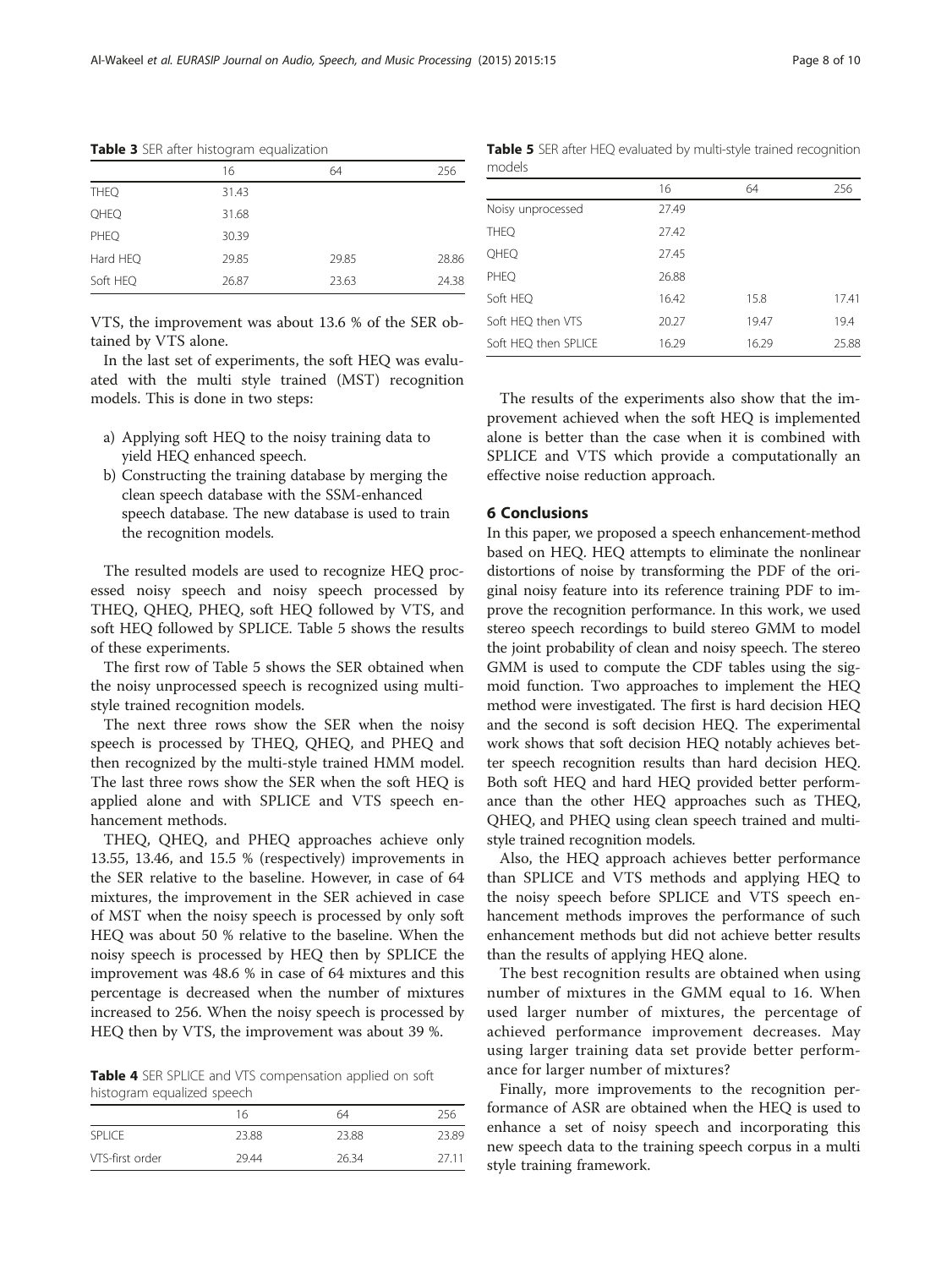|             | 16    | 64    | 256   |
|-------------|-------|-------|-------|
| <b>THEQ</b> | 31.43 |       |       |
| QHEQ        | 31.68 |       |       |
| PHEQ        | 30.39 |       |       |
| Hard HEQ    | 29.85 | 29.85 | 28.86 |
| Soft HEQ    | 26.87 | 23.63 | 24.38 |

<span id="page-7-0"></span>Table 3 SER after histogram equalization

VTS, the improvement was about 13.6 % of the SER obtained by VTS alone.

In the last set of experiments, the soft HEQ was evaluated with the multi style trained (MST) recognition models. This is done in two steps:

- a) Applying soft HEQ to the noisy training data to yield HEQ enhanced speech.
- b) Constructing the training database by merging the clean speech database with the SSM-enhanced speech database. The new database is used to train the recognition models.

The resulted models are used to recognize HEQ processed noisy speech and noisy speech processed by THEQ, QHEQ, PHEQ, soft HEQ followed by VTS, and soft HEQ followed by SPLICE. Table 5 shows the results of these experiments.

The first row of Table 5 shows the SER obtained when the noisy unprocessed speech is recognized using multistyle trained recognition models.

The next three rows show the SER when the noisy speech is processed by THEQ, QHEQ, and PHEQ and then recognized by the multi-style trained HMM model. The last three rows show the SER when the soft HEQ is applied alone and with SPLICE and VTS speech enhancement methods.

THEQ, QHEQ, and PHEQ approaches achieve only 13.55, 13.46, and 15.5 % (respectively) improvements in the SER relative to the baseline. However, in case of 64 mixtures, the improvement in the SER achieved in case of MST when the noisy speech is processed by only soft HEQ was about 50 % relative to the baseline. When the noisy speech is processed by HEQ then by SPLICE the improvement was 48.6 % in case of 64 mixtures and this percentage is decreased when the number of mixtures increased to 256. When the noisy speech is processed by HEQ then by VTS, the improvement was about 39 %.

Table 4 SER SPLICE and VTS compensation applied on soft histogram equalized speech

|                 | 16    | 64    | 256   |
|-----------------|-------|-------|-------|
| SPLICE.         | 23.88 | 23.88 | 23.89 |
| VTS-first order | 29.44 | 26.34 | 2711  |

Table 5 SER after HEQ evaluated by multi-style trained recognition models

|                      | 16    | 64    | 256   |
|----------------------|-------|-------|-------|
| Noisy unprocessed    | 27.49 |       |       |
| THEQ                 | 27.42 |       |       |
| QHEQ                 | 27.45 |       |       |
| PHEQ                 | 26.88 |       |       |
| Soft HEQ             | 16.42 | 15.8  | 17.41 |
| Soft HEQ then VTS    | 20.27 | 19.47 | 19.4  |
| Soft HEQ then SPLICE | 16.29 | 16.29 | 25.88 |

The results of the experiments also show that the improvement achieved when the soft HEQ is implemented alone is better than the case when it is combined with SPLICE and VTS which provide a computationally an effective noise reduction approach.

## 6 Conclusions

In this paper, we proposed a speech enhancement-method based on HEQ. HEQ attempts to eliminate the nonlinear distortions of noise by transforming the PDF of the original noisy feature into its reference training PDF to improve the recognition performance. In this work, we used stereo speech recordings to build stereo GMM to model the joint probability of clean and noisy speech. The stereo GMM is used to compute the CDF tables using the sigmoid function. Two approaches to implement the HEQ method were investigated. The first is hard decision HEQ and the second is soft decision HEQ. The experimental work shows that soft decision HEQ notably achieves better speech recognition results than hard decision HEQ. Both soft HEQ and hard HEQ provided better performance than the other HEQ approaches such as THEQ, QHEQ, and PHEQ using clean speech trained and multistyle trained recognition models.

Also, the HEQ approach achieves better performance than SPLICE and VTS methods and applying HEQ to the noisy speech before SPLICE and VTS speech enhancement methods improves the performance of such enhancement methods but did not achieve better results than the results of applying HEQ alone.

The best recognition results are obtained when using number of mixtures in the GMM equal to 16. When used larger number of mixtures, the percentage of achieved performance improvement decreases. May using larger training data set provide better performance for larger number of mixtures?

Finally, more improvements to the recognition performance of ASR are obtained when the HEQ is used to enhance a set of noisy speech and incorporating this new speech data to the training speech corpus in a multi style training framework.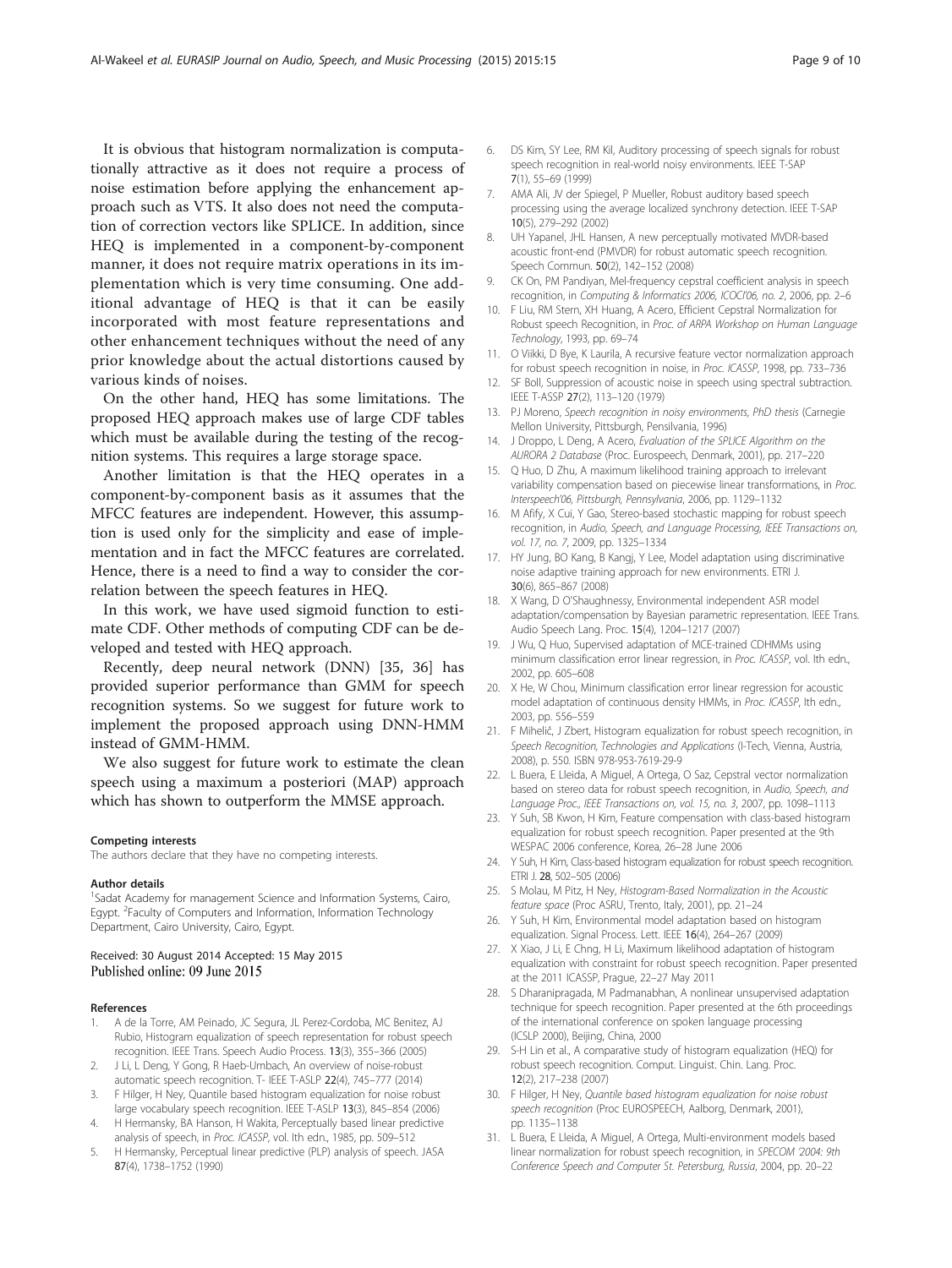<span id="page-8-0"></span>It is obvious that histogram normalization is computationally attractive as it does not require a process of noise estimation before applying the enhancement approach such as VTS. It also does not need the computation of correction vectors like SPLICE. In addition, since HEQ is implemented in a component-by-component manner, it does not require matrix operations in its implementation which is very time consuming. One additional advantage of HEQ is that it can be easily incorporated with most feature representations and other enhancement techniques without the need of any prior knowledge about the actual distortions caused by various kinds of noises.

On the other hand, HEQ has some limitations. The proposed HEQ approach makes use of large CDF tables which must be available during the testing of the recognition systems. This requires a large storage space.

Another limitation is that the HEQ operates in a component-by-component basis as it assumes that the MFCC features are independent. However, this assumption is used only for the simplicity and ease of implementation and in fact the MFCC features are correlated. Hence, there is a need to find a way to consider the correlation between the speech features in HEQ.

In this work, we have used sigmoid function to estimate CDF. Other methods of computing CDF can be developed and tested with HEQ approach.

Recently, deep neural network (DNN) [[35](#page-9-0), [36](#page-9-0)] has provided superior performance than GMM for speech recognition systems. So we suggest for future work to implement the proposed approach using DNN-HMM instead of GMM-HMM.

We also suggest for future work to estimate the clean speech using a maximum a posteriori (MAP) approach which has shown to outperform the MMSE approach.

#### Competing interests

The authors declare that they have no competing interests.

#### Author details

<sup>1</sup>Sadat Academy for management Science and Information Systems, Cairo, Egypt. <sup>2</sup>Faculty of Computers and Information, Information Technology Department, Cairo University, Cairo, Egypt.

#### Received: 30 August 2014 Accepted: 15 May 2015 Published online: 09 June 2015

#### References

- 1. A de la Torre, AM Peinado, JC Segura, JL Perez-Cordoba, MC Benitez, AJ Rubio, Histogram equalization of speech representation for robust speech recognition. IEEE Trans. Speech Audio Process. 13(3), 355–366 (2005)
- 2. J Li, L Deng, Y Gong, R Haeb-Umbach, An overview of noise-robust automatic speech recognition. T- IEEE T-ASLP 22(4), 745–777 (2014)
- 3. F Hilger, H Ney, Quantile based histogram equalization for noise robust large vocabulary speech recognition. IEEE T-ASLP 13(3), 845–854 (2006)
- 4. H Hermansky, BA Hanson, H Wakita, Perceptually based linear predictive analysis of speech, in Proc. ICASSP, vol. Ith edn., 1985, pp. 509-512
- 5. H Hermansky, Perceptual linear predictive (PLP) analysis of speech. JASA 87(4), 1738–1752 (1990)
- 6. DS Kim, SY Lee, RM Kil, Auditory processing of speech signals for robust speech recognition in real-world noisy environments. IEEE T-SAP 7(1), 55–69 (1999)
- 7. AMA Ali, JV der Spiegel, P Mueller, Robust auditory based speech processing using the average localized synchrony detection. IEEE T-SAP 10(5), 279–292 (2002)
- 8. UH Yapanel, JHL Hansen, A new perceptually motivated MVDR-based acoustic front-end (PMVDR) for robust automatic speech recognition. Speech Commun. 50(2), 142–152 (2008)
- 9. CK On, PM Pandiyan, Mel-frequency cepstral coefficient analysis in speech recognition, in Computing & Informatics 2006, ICOCI'06, no. 2, 2006, pp. 2–6
- 10. F Liu, RM Stern, XH Huang, A Acero, Efficient Cepstral Normalization for Robust speech Recognition, in Proc. of ARPA Workshop on Human Language Technology, 1993, pp. 69–74
- 11. O Viikki, D Bye, K Laurila, A recursive feature vector normalization approach for robust speech recognition in noise, in Proc. ICASSP, 1998, pp. 733–736
- 12. SF Boll, Suppression of acoustic noise in speech using spectral subtraction. IEEE T-ASSP 27(2), 113–120 (1979)
- 13. PJ Moreno, Speech recognition in noisy environments, PhD thesis (Carnegie Mellon University, Pittsburgh, Pensilvania, 1996)
- 14. J Droppo, L Deng, A Acero, Evaluation of the SPLICE Algorithm on the AURORA 2 Database (Proc. Eurospeech, Denmark, 2001), pp. 217–220
- 15. Q Huo, D Zhu, A maximum likelihood training approach to irrelevant variability compensation based on piecewise linear transformations, in Proc. Interspeech'06, Pittsburgh, Pennsylvania, 2006, pp. 1129–1132
- 16. M Afify, X Cui, Y Gao, Stereo-based stochastic mapping for robust speech recognition, in Audio, Speech, and Language Processing, IEEE Transactions on, vol. 17, no. 7, 2009, pp. 1325–1334
- 17. HY Jung, BO Kang, B Kangj, Y Lee, Model adaptation using discriminative noise adaptive training approach for new environments. ETRI J. 30(6), 865–867 (2008)
- 18. X Wang, D O'Shaughnessy, Environmental independent ASR model adaptation/compensation by Bayesian parametric representation. IEEE Trans. Audio Speech Lang. Proc. 15(4), 1204–1217 (2007)
- 19. J Wu, Q Huo, Supervised adaptation of MCE-trained CDHMMs using minimum classification error linear regression, in Proc. ICASSP, vol. Ith edn., 2002, pp. 605–608
- 20. X He, W Chou, Minimum classification error linear regression for acoustic model adaptation of continuous density HMMs, in Proc. ICASSP, Ith edn., 2003, pp. 556–559
- 21. F Mihelič, J Zbert, Histogram equalization for robust speech recognition, in Speech Recognition, Technologies and Applications (I-Tech, Vienna, Austria, 2008), p. 550. ISBN 978-953-7619-29-9
- 22. L Buera, E Lleida, A Miguel, A Ortega, O Saz, Cepstral vector normalization based on stereo data for robust speech recognition, in Audio, Speech, and Language Proc., IEEE Transactions on, vol. 15, no. 3, 2007, pp. 1098–1113
- 23. Y Suh, SB Kwon, H Kim, Feature compensation with class-based histogram equalization for robust speech recognition. Paper presented at the 9th WESPAC 2006 conference, Korea, 26–28 June 2006
- 24. Y Suh, H Kim, Class-based histogram equalization for robust speech recognition. ETRI J. 28, 502–505 (2006)
- 25. S Molau, M Pitz, H Ney, Histogram-Based Normalization in the Acoustic feature space (Proc ASRU, Trento, Italy, 2001), pp. 21–24
- 26. Y Suh, H Kim, Environmental model adaptation based on histogram equalization. Signal Process. Lett. IEEE 16(4), 264–267 (2009)
- 27. X Xiao, J Li, E Chng, H Li, Maximum likelihood adaptation of histogram equalization with constraint for robust speech recognition. Paper presented at the 2011 ICASSP, Prague, 22–27 May 2011
- 28. S Dharanipragada, M Padmanabhan, A nonlinear unsupervised adaptation technique for speech recognition. Paper presented at the 6th proceedings of the international conference on spoken language processing (ICSLP 2000), Beijing, China, 2000
- 29. S-H Lin et al., A comparative study of histogram equalization (HEQ) for robust speech recognition. Comput. Linguist. Chin. Lang. Proc. 12(2), 217–238 (2007)
- 30. F Hilger, H Ney, Quantile based histogram equalization for noise robust speech recognition (Proc EUROSPEECH, Aalborg, Denmark, 2001), pp. 1135–1138
- 31. L Buera, E Lleida, A Miguel, A Ortega, Multi-environment models based linear normalization for robust speech recognition, in SPECOM '2004: 9th Conference Speech and Computer St. Petersburg, Russia, 2004, pp. 20–22